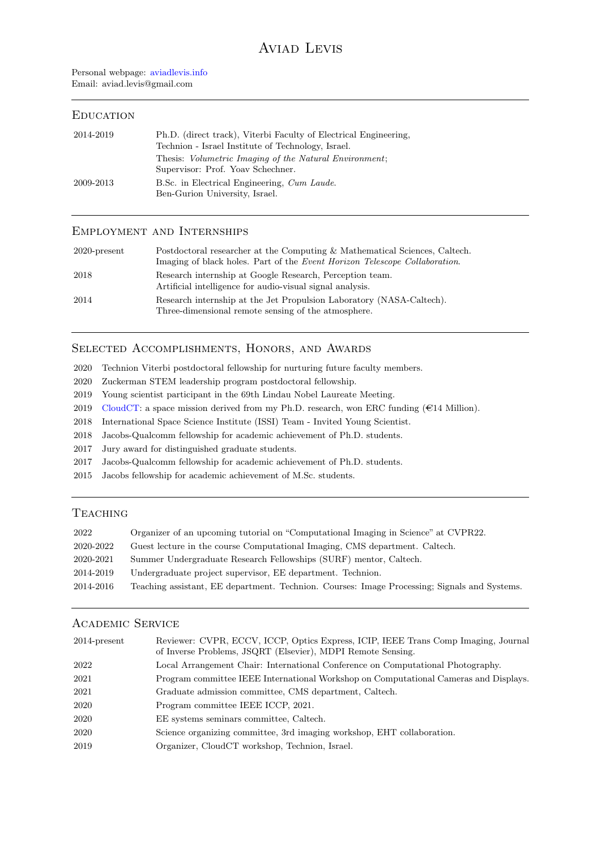## **EDUCATION**

| 2014-2019 | Ph.D. (direct track), Viterbi Faculty of Electrical Engineering,<br>Technion - Israel Institute of Technology, Israel. |
|-----------|------------------------------------------------------------------------------------------------------------------------|
|           | Thesis: <i>Volumetric Imaging of the Natural Environment</i> ;<br>Supervisor: Prof. Yoav Schechner.                    |
| 2009-2013 | B.Sc. in Electrical Engineering, Cum Laude.<br>Ben-Gurion University, Israel.                                          |

## Employment and Internships

| $2020$ -present | Postdoctoral researcher at the Computing & Mathematical Sciences, Caltech.<br>Imaging of black holes. Part of the Event Horizon Telescope Collaboration. |
|-----------------|----------------------------------------------------------------------------------------------------------------------------------------------------------|
| 2018            | Research internship at Google Research, Perception team.<br>Artificial intelligence for audio-visual signal analysis.                                    |
| 2014            | Research internship at the Jet Propulsion Laboratory (NASA-Caltech).<br>Three-dimensional remote sensing of the atmosphere.                              |

## Selected Accomplishments, Honors, and Awards

2020 Technion Viterbi postdoctoral fellowship for nurturing future faculty members.

- 2020 Zuckerman STEM leadership program postdoctoral fellowship.
- 2019 Young scientist participant in the 69th Lindau Nobel Laureate Meeting.
- 2019 [CloudCT:](https://www.cloudct.space/) a space mission derived from my Ph.D. research, won ERC funding  $(\epsilon 14$  Million).
- 2018 International Space Science Institute (ISSI) Team Invited Young Scientist.
- 2018 Jacobs-Qualcomm fellowship for academic achievement of Ph.D. students.
- 2017 Jury award for distinguished graduate students.
- 2017 Jacobs-Qualcomm fellowship for academic achievement of Ph.D. students.
- 2015 Jacobs fellowship for academic achievement of M.Sc. students.

## **TEACHING**

| 2022      | Organizer of an upcoming tutorial on "Computational Imaging in Science" at CVPR22.           |
|-----------|----------------------------------------------------------------------------------------------|
| 2020-2022 | Guest lecture in the course Computational Imaging, CMS department. Caltech.                  |
| 2020-2021 | Summer Undergraduate Research Fellowships (SURF) mentor, Caltech.                            |
| 2014-2019 | Undergraduate project supervisor, EE department. Technion.                                   |
| 2014-2016 | Teaching assistant, EE department. Technion. Courses: Image Processing; Signals and Systems. |

# Academic Service

| $2014$ -present | Reviewer: CVPR, ECCV, ICCP, Optics Express, ICIP, IEEE Trans Comp Imaging, Journal<br>of Inverse Problems, JSQRT (Elsevier), MDPI Remote Sensing. |
|-----------------|---------------------------------------------------------------------------------------------------------------------------------------------------|
| 2022            | Local Arrangement Chair: International Conference on Computational Photography.                                                                   |
| 2021            | Program committee IEEE International Workshop on Computational Cameras and Displays.                                                              |
| 2021            | Graduate admission committee, CMS department, Caltech.                                                                                            |
| 2020            | Program committee IEEE ICCP, 2021.                                                                                                                |
| 2020            | EE systems seminars committee, Caltech.                                                                                                           |
| 2020            | Science organizing committee, 3rd imaging workshop, EHT collaboration.                                                                            |
| 2019            | Organizer, CloudCT workshop, Technion, Israel.                                                                                                    |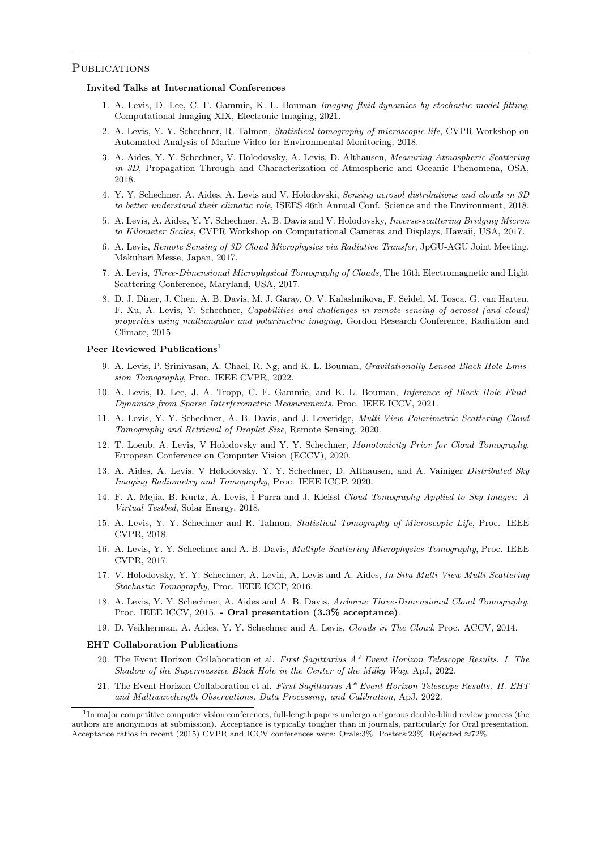### PUBLICATIONS

### Invited Talks at International Conferences

- 1. A. Levis, D. Lee, C. F. Gammie, K. L. Bouman Imaging fluid-dynamics by stochastic model fitting, Computational Imaging XIX, Electronic Imaging, 2021.
- 2. A. Levis, Y. Y. Schechner, R. Talmon, Statistical tomography of microscopic life, CVPR Workshop on Automated Analysis of Marine Video for Environmental Monitoring, 2018.
- 3. A. Aides, Y. Y. Schechner, V. Holodovsky, A. Levis, D. Althausen, Measuring Atmospheric Scattering in 3D, Propagation Through and Characterization of Atmospheric and Oceanic Phenomena, OSA, 2018.
- 4. Y. Y. Schechner, A. Aides, A. Levis and V. Holodovski, Sensing aerosol distributions and clouds in 3D to better understand their climatic role, ISEES 46th Annual Conf. Science and the Environment, 2018.
- 5. A. Levis, A. Aides, Y. Y. Schechner, A. B. Davis and V. Holodovsky, Inverse-scattering Bridging Micron to Kilometer Scales, CVPR Workshop on Computational Cameras and Displays, Hawaii, USA, 2017.
- 6. A. Levis, Remote Sensing of 3D Cloud Microphysics via Radiative Transfer, JpGU-AGU Joint Meeting, Makuhari Messe, Japan, 2017.
- 7. A. Levis, Three-Dimensional Microphysical Tomography of Clouds, The 16th Electromagnetic and Light Scattering Conference, Maryland, USA, 2017.
- 8. D. J. Diner, J. Chen, A. B. Davis, M. J. Garay, O. V. Kalashnikova, F. Seidel, M. Tosca, G. van Harten, F. Xu, A. Levis, Y. Schechner, Capabilities and challenges in remote sensing of aerosol (and cloud) properties using multiangular and polarimetric imaging, Gordon Research Conference, Radiation and Climate, 2015

### Peer Reviewed Publications<sup>[1](#page-1-0)</sup>

- 9. A. Levis, P. Srinivasan, A. Chael, R. Ng, and K. L. Bouman, Gravitationally Lensed Black Hole Emission Tomography, Proc. IEEE CVPR, 2022.
- 10. A. Levis, D. Lee, J. A. Tropp, C. F. Gammie, and K. L. Bouman, Inference of Black Hole Fluid-Dynamics from Sparse Interferometric Measurements, Proc. IEEE ICCV, 2021.
- 11. A. Levis, Y. Y. Schechner, A. B. Davis, and J. Loveridge, Multi-View Polarimetric Scattering Cloud Tomography and Retrieval of Droplet Size, Remote Sensing, 2020.
- 12. T. Loeub, A. Levis, V Holodovsky and Y. Y. Schechner, Monotonicity Prior for Cloud Tomography, European Conference on Computer Vision (ECCV), 2020.
- 13. A. Aides, A. Levis, V Holodovsky, Y. Y. Schechner, D. Althausen, and A. Vainiger Distributed Sky Imaging Radiometry and Tomography, Proc. IEEE ICCP, 2020.
- 14. F. A. Mejia, B. Kurtz, A. Levis, I Parra and J. Kleissl Cloud Tomography Applied to Sky Images: A Virtual Testbed, Solar Energy, 2018.
- 15. A. Levis, Y. Y. Schechner and R. Talmon, Statistical Tomography of Microscopic Life, Proc. IEEE CVPR, 2018.
- 16. A. Levis, Y. Y. Schechner and A. B. Davis, Multiple-Scattering Microphysics Tomography, Proc. IEEE CVPR, 2017.
- 17. V. Holodovsky, Y. Y. Schechner, A. Levin, A. Levis and A. Aides, In-Situ Multi-View Multi-Scattering Stochastic Tomography, Proc. IEEE ICCP, 2016.
- 18. A. Levis, Y. Y. Schechner, A. Aides and A. B. Davis, Airborne Three-Dimensional Cloud Tomography, Proc. IEEE ICCV, 2015. - Oral presentation (3.3% acceptance).
- 19. D. Veikherman, A. Aides, Y. Y. Schechner and A. Levis, Clouds in The Cloud, Proc. ACCV, 2014.

### EHT Collaboration Publications

- 20. The Event Horizon Collaboration et al. First Sagittarius A\* Event Horizon Telescope Results. I. The Shadow of the Supermassive Black Hole in the Center of the Milky Way, ApJ, 2022.
- 21. The Event Horizon Collaboration et al. First Sagittarius  $A^*$  Event Horizon Telescope Results. II. EHT and Multiwavelength Observations, Data Processing, and Calibration, ApJ, 2022.

<span id="page-1-0"></span><sup>&</sup>lt;sup>1</sup>In major competitive computer vision conferences, full-length papers undergo a rigorous double-blind review process (the authors are anonymous at submission). Acceptance is typically tougher than in journals, particularly for Oral presentation. Acceptance ratios in recent (2015) CVPR and ICCV conferences were: Orals:3% Posters:23% Rejected ≈72%.